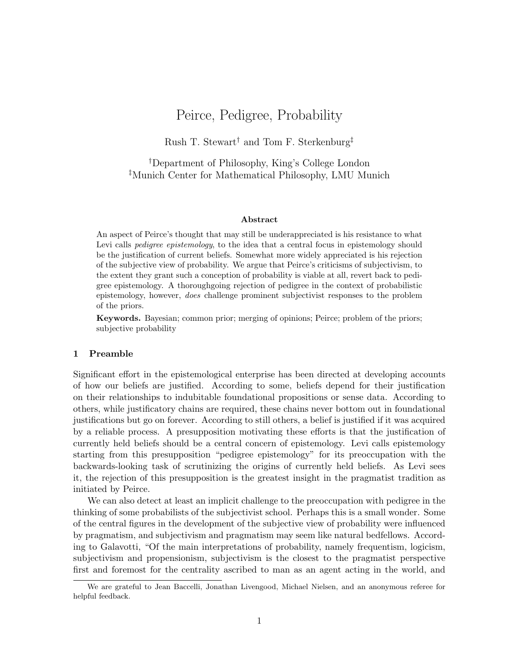# Peirce, Pedigree, Probability

Rush T. Stewart† and Tom F. Sterkenburg‡

†Department of Philosophy, King's College London ‡Munich Center for Mathematical Philosophy, LMU Munich

### Abstract

An aspect of Peirce's thought that may still be underappreciated is his resistance to what Levi calls *pedigree epistemology*, to the idea that a central focus in epistemology should be the justification of current beliefs. Somewhat more widely appreciated is his rejection of the subjective view of probability. We argue that Peirce's criticisms of subjectivism, to the extent they grant such a conception of probability is viable at all, revert back to pedigree epistemology. A thoroughgoing rejection of pedigree in the context of probabilistic epistemology, however, does challenge prominent subjectivist responses to the problem of the priors[.](#page-0-0)

Keywords. Bayesian; common prior; merging of opinions; Peirce; problem of the priors; subjective probability

#### 1 Preamble

Significant effort in the epistemological enterprise has been directed at developing accounts of how our beliefs are justified. According to some, beliefs depend for their justification on their relationships to indubitable foundational propositions or sense data. According to others, while justificatory chains are required, these chains never bottom out in foundational justifications but go on forever. According to still others, a belief is justified if it was acquired by a reliable process. A presupposition motivating these efforts is that the justification of currently held beliefs should be a central concern of epistemology. Levi calls epistemology starting from this presupposition "pedigree epistemology" for its preoccupation with the backwards-looking task of scrutinizing the origins of currently held beliefs. As Levi sees it, the rejection of this presupposition is the greatest insight in the pragmatist tradition as initiated by Peirce.

We can also detect at least an implicit challenge to the preoccupation with pedigree in the thinking of some probabilists of the subjectivist school. Perhaps this is a small wonder. Some of the central figures in the development of the subjective view of probability were influenced by pragmatism, and subjectivism and pragmatism may seem like natural bedfellows. According to Galavotti, "Of the main interpretations of probability, namely frequentism, logicism, subjectivism and propensionism, subjectivism is the closest to the pragmatist perspective first and foremost for the centrality ascribed to man as an agent acting in the world, and

<span id="page-0-0"></span>We are grateful to Jean Baccelli, Jonathan Livengood, Michael Nielsen, and an anonymous referee for helpful feedback.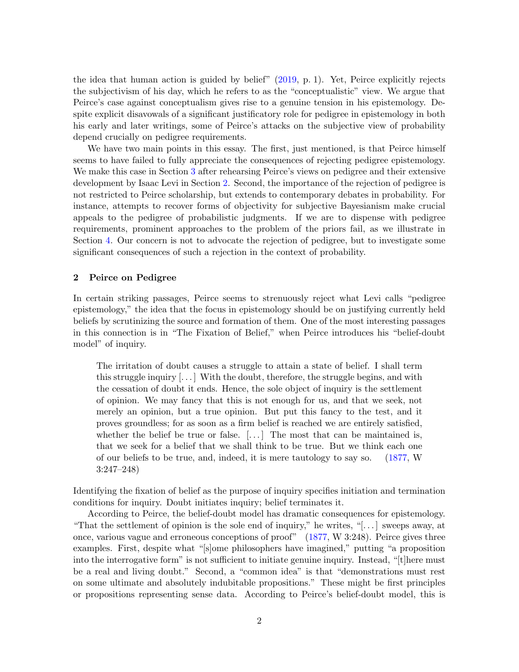the idea that human action is guided by belief" [\(2019,](#page-20-0) p. 1). Yet, Peirce explicitly rejects the subjectivism of his day, which he refers to as the "conceptualistic" view. We argue that Peirce's case against conceptualism gives rise to a genuine tension in his epistemology. Despite explicit disavowals of a significant justificatory role for pedigree in epistemology in both his early and later writings, some of Peirce's attacks on the subjective view of probability depend crucially on pedigree requirements.

We have two main points in this essay. The first, just mentioned, is that Peirce himself seems to have failed to fully appreciate the consequences of rejecting pedigree epistemology. We make this case in Section [3](#page-4-0) after rehearsing Peirce's views on pedigree and their extensive development by Isaac Levi in Section [2.](#page-1-0) Second, the importance of the rejection of pedigree is not restricted to Peirce scholarship, but extends to contemporary debates in probability. For instance, attempts to recover forms of objectivity for subjective Bayesianism make crucial appeals to the pedigree of probabilistic judgments. If we are to dispense with pedigree requirements, prominent approaches to the problem of the priors fail, as we illustrate in Section [4.](#page-10-0) Our concern is not to advocate the rejection of pedigree, but to investigate some significant consequences of such a rejection in the context of probability.

## <span id="page-1-0"></span>2 Peirce on Pedigree

In certain striking passages, Peirce seems to strenuously reject what Levi calls "pedigree epistemology," the idea that the focus in epistemology should be on justifying currently held beliefs by scrutinizing the source and formation of them. One of the most interesting passages in this connection is in "The Fixation of Belief," when Peirce introduces his "belief-doubt model" of inquiry.

The irritation of doubt causes a struggle to attain a state of belief. I shall term this struggle inquiry  $[\ldots]$  With the doubt, therefore, the struggle begins, and with the cessation of doubt it ends. Hence, the sole object of inquiry is the settlement of opinion. We may fancy that this is not enough for us, and that we seek, not merely an opinion, but a true opinion. But put this fancy to the test, and it proves groundless; for as soon as a firm belief is reached we are entirely satisfied, whether the belief be true or false.  $[\ldots]$  The most that can be maintained is, that we seek for a belief that we shall think to be true. But we think each one of our beliefs to be true, and, indeed, it is mere tautology to say so. [\(1877,](#page-22-0) W 3:247–248)

Identifying the fixation of belief as the purpose of inquiry specifies initiation and termination conditions for inquiry. Doubt initiates inquiry; belief terminates it.

According to Peirce, the belief-doubt model has dramatic consequences for epistemology. "That the settlement of opinion is the sole end of inquiry," he writes, "[ $\dots$ ] sweeps away, at once, various vague and erroneous conceptions of proof" [\(1877,](#page-22-0) W 3:248). Peirce gives three examples. First, despite what "[s]ome philosophers have imagined," putting "a proposition into the interrogative form" is not sufficient to initiate genuine inquiry. Instead, "[t]here must be a real and living doubt." Second, a "common idea" is that "demonstrations must rest on some ultimate and absolutely indubitable propositions." These might be first principles or propositions representing sense data. According to Peirce's belief-doubt model, this is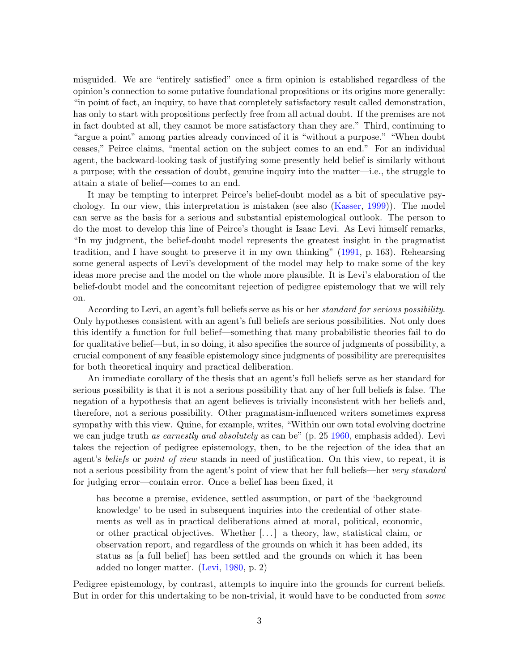misguided. We are "entirely satisfied" once a firm opinion is established regardless of the opinion's connection to some putative foundational propositions or its origins more generally: "in point of fact, an inquiry, to have that completely satisfactory result called demonstration, has only to start with propositions perfectly free from all actual doubt. If the premises are not in fact doubted at all, they cannot be more satisfactory than they are." Third, continuing to "argue a point" among parties already convinced of it is "without a purpose." "When doubt ceases," Peirce claims, "mental action on the subject comes to an end." For an individual agent, the backward-looking task of justifying some presently held belief is similarly without a purpose; with the cessation of doubt, genuine inquiry into the matter—i.e., the struggle to attain a state of belief—comes to an end.

It may be tempting to interpret Peirce's belief-doubt model as a bit of speculative psychology. In our view, this interpretation is mistaken (see also [\(Kasser,](#page-21-0) [1999\)](#page-21-0)). The model can serve as the basis for a serious and substantial epistemological outlook. The person to do the most to develop this line of Peirce's thought is Isaac Levi. As Levi himself remarks, "In my judgment, the belief-doubt model represents the greatest insight in the pragmatist tradition, and I have sought to preserve it in my own thinking" [\(1991,](#page-21-1) p. 163). Rehearsing some general aspects of Levi's development of the model may help to make some of the key ideas more precise and the model on the whole more plausible. It is Levi's elaboration of the belief-doubt model and the concomitant rejection of pedigree epistemology that we will rely on.

According to Levi, an agent's full beliefs serve as his or her standard for serious possibility. Only hypotheses consistent with an agent's full beliefs are serious possibilities. Not only does this identify a function for full belief—something that many probabilistic theories fail to do for qualitative belief—but, in so doing, it also specifies the source of judgments of possibility, a crucial component of any feasible epistemology since judgments of possibility are prerequisites for both theoretical inquiry and practical deliberation.

An immediate corollary of the thesis that an agent's full beliefs serve as her standard for serious possibility is that it is not a serious possibility that any of her full beliefs is false. The negation of a hypothesis that an agent believes is trivially inconsistent with her beliefs and, therefore, not a serious possibility. Other pragmatism-influenced writers sometimes express sympathy with this view. Quine, for example, writes, "Within our own total evolving doctrine we can judge truth as earnestly and absolutely as can be" (p. 25 [1960,](#page-22-1) emphasis added). Levi takes the rejection of pedigree epistemology, then, to be the rejection of the idea that an agent's beliefs or point of view stands in need of justification. On this view, to repeat, it is not a serious possibility from the agent's point of view that her full beliefs—her very standard for judging error—contain error. Once a belief has been fixed, it

has become a premise, evidence, settled assumption, or part of the 'background knowledge' to be used in subsequent inquiries into the credential of other statements as well as in practical deliberations aimed at moral, political, economic, or other practical objectives. Whether  $[\,\ldots\,]$  a theory, law, statistical claim, or observation report, and regardless of the grounds on which it has been added, its status as [a full belief] has been settled and the grounds on which it has been added no longer matter. [\(Levi,](#page-21-2) [1980,](#page-21-2) p. 2)

Pedigree epistemology, by contrast, attempts to inquire into the grounds for current beliefs. But in order for this undertaking to be non-trivial, it would have to be conducted from *some*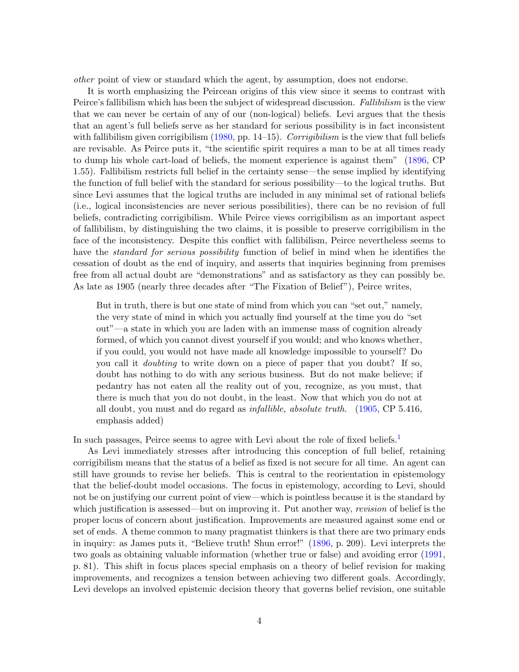other point of view or standard which the agent, by assumption, does not endorse.

It is worth emphasizing the Peircean origins of this view since it seems to contrast with Peirce's fallibilism which has been the subject of widespread discussion. Fallibilism is the view that we can never be certain of any of our (non-logical) beliefs. Levi argues that the thesis that an agent's full beliefs serve as her standard for serious possibility is in fact inconsistent with fallibilism given corrigibilism  $(1980, pp. 14-15)$  $(1980, pp. 14-15)$ . Corrigibilism is the view that full beliefs are revisable. As Peirce puts it, "the scientific spirit requires a man to be at all times ready to dump his whole cart-load of beliefs, the moment experience is against them" [\(1896,](#page-21-3) CP 1.55). Fallibilism restricts full belief in the certainty sense—the sense implied by identifying the function of full belief with the standard for serious possibility—to the logical truths. But since Levi assumes that the logical truths are included in any minimal set of rational beliefs (i.e., logical inconsistencies are never serious possibilities), there can be no revision of full beliefs, contradicting corrigibilism. While Peirce views corrigibilism as an important aspect of fallibilism, by distinguishing the two claims, it is possible to preserve corrigibilism in the face of the inconsistency. Despite this conflict with fallibilism, Peirce nevertheless seems to have the *standard for serious possibility* function of belief in mind when he identifies the cessation of doubt as the end of inquiry, and asserts that inquiries beginning from premises free from all actual doubt are "demonstrations" and as satisfactory as they can possibly be. As late as 1905 (nearly three decades after "The Fixation of Belief"), Peirce writes,

But in truth, there is but one state of mind from which you can "set out," namely, the very state of mind in which you actually find yourself at the time you do "set out"—a state in which you are laden with an immense mass of cognition already formed, of which you cannot divest yourself if you would; and who knows whether, if you could, you would not have made all knowledge impossible to yourself? Do you call it doubting to write down on a piece of paper that you doubt? If so, doubt has nothing to do with any serious business. But do not make believe; if pedantry has not eaten all the reality out of you, recognize, as you must, that there is much that you do not doubt, in the least. Now that which you do not at all doubt, you must and do regard as infallible, absolute truth. [\(1905,](#page-21-3) CP 5.416, emphasis added)

In such passages, Peirce seems to agree with Levi about the role of fixed beliefs.<sup>[1](#page-16-0)</sup>

As Levi immediately stresses after introducing this conception of full belief, retaining corrigibilism means that the status of a belief as fixed is not secure for all time. An agent can still have grounds to revise her beliefs. This is central to the reorientation in epistemology that the belief-doubt model occasions. The focus in epistemology, according to Levi, should not be on justifying our current point of view—which is pointless because it is the standard by which justification is assessed—but on improving it. Put another way, *revision* of belief is the proper locus of concern about justification. Improvements are measured against some end or set of ends. A theme common to many pragmatist thinkers is that there are two primary ends in inquiry: as James puts it, "Believe truth! Shun error!" [\(1896,](#page-20-1) p. 209). Levi interprets the two goals as obtaining valuable information (whether true or false) and avoiding error [\(1991,](#page-21-1) p. 81). This shift in focus places special emphasis on a theory of belief revision for making improvements, and recognizes a tension between achieving two different goals. Accordingly, Levi develops an involved epistemic decision theory that governs belief revision, one suitable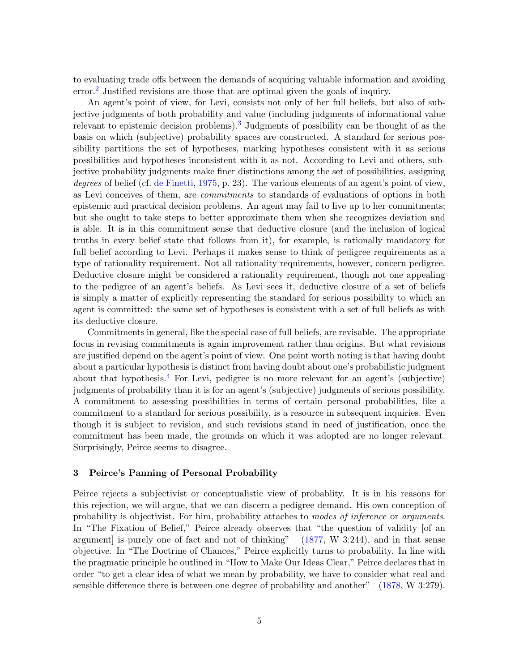to evaluating trade offs between the demands of acquiring valuable information and avoiding error.[2](#page-16-1) Justified revisions are those that are optimal given the goals of inquiry.

An agent's point of view, for Levi, consists not only of her full beliefs, but also of subjective judgments of both probability and value (including judgments of informational value relevant to epistemic decision problems).[3](#page-16-2) Judgments of possibility can be thought of as the basis on which (subjective) probability spaces are constructed. A standard for serious possibility partitions the set of hypotheses, marking hypotheses consistent with it as serious possibilities and hypotheses inconsistent with it as not. According to Levi and others, subjective probability judgments make finer distinctions among the set of possibilities, assigning degrees of belief (cf. [de Finetti,](#page-20-2) [1975,](#page-20-2) p. 23). The various elements of an agent's point of view, as Levi conceives of them, are commitments to standards of evaluations of options in both epistemic and practical decision problems. An agent may fail to live up to her commitments; but she ought to take steps to better approximate them when she recognizes deviation and is able. It is in this commitment sense that deductive closure (and the inclusion of logical truths in every belief state that follows from it), for example, is rationally mandatory for full belief according to Levi. Perhaps it makes sense to think of pedigree requirements as a type of rationality requirement. Not all rationality requirements, however, concern pedigree. Deductive closure might be considered a rationality requirement, though not one appealing to the pedigree of an agent's beliefs. As Levi sees it, deductive closure of a set of beliefs is simply a matter of explicitly representing the standard for serious possibility to which an agent is committed: the same set of hypotheses is consistent with a set of full beliefs as with its deductive closure.

Commitments in general, like the special case of full beliefs, are revisable. The appropriate focus in revising commitments is again improvement rather than origins. But what revisions are justified depend on the agent's point of view. One point worth noting is that having doubt about a particular hypothesis is distinct from having doubt about one's probabilistic judgment about that hypothesis.<sup>[4](#page-16-3)</sup> For Levi, pedigree is no more relevant for an agent's (subjective) judgments of probability than it is for an agent's (subjective) judgments of serious possibility. A commitment to assessing possibilities in terms of certain personal probabilities, like a commitment to a standard for serious possibility, is a resource in subsequent inquiries. Even though it is subject to revision, and such revisions stand in need of justification, once the commitment has been made, the grounds on which it was adopted are no longer relevant. Surprisingly, Peirce seems to disagree.

# <span id="page-4-0"></span>3 Peirce's Panning of Personal Probability

Peirce rejects a subjectivist or conceptualistic view of probablity. It is in his reasons for this rejection, we will argue, that we can discern a pedigree demand. His own conception of probability is objectivist. For him, probability attaches to modes of inference or arguments. In "The Fixation of Belief," Peirce already observes that "the question of validity of an argument] is purely one of fact and not of thinking" [\(1877,](#page-22-0) W 3:244), and in that sense objective. In "The Doctrine of Chances," Peirce explicitly turns to probability. In line with the pragmatic principle he outlined in "How to Make Our Ideas Clear," Peirce declares that in order "to get a clear idea of what we mean by probability, we have to consider what real and sensible difference there is between one degree of probability and another" [\(1878,](#page-22-0) W 3:279).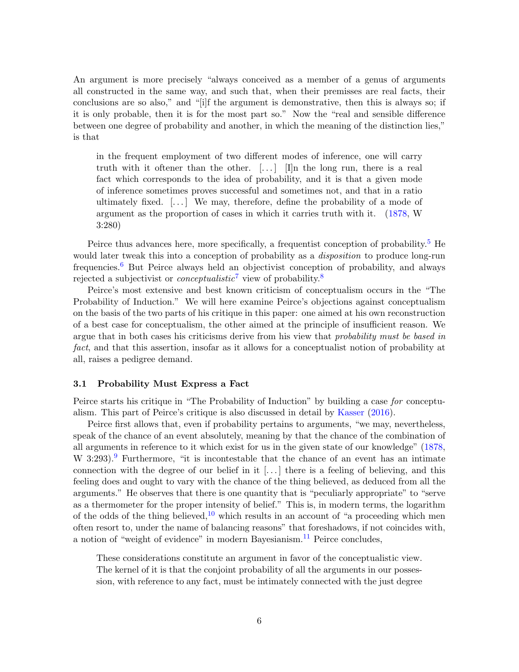An argument is more precisely "always conceived as a member of a genus of arguments all constructed in the same way, and such that, when their premisses are real facts, their conclusions are so also," and "[i]f the argument is demonstrative, then this is always so; if it is only probable, then it is for the most part so." Now the "real and sensible difference between one degree of probability and another, in which the meaning of the distinction lies," is that

in the frequent employment of two different modes of inference, one will carry truth with it oftener than the other.  $[...]$  [I]n the long run, there is a real fact which corresponds to the idea of probability, and it is that a given mode of inference sometimes proves successful and sometimes not, and that in a ratio ultimately fixed.  $[\dots]$  We may, therefore, define the probability of a mode of argument as the proportion of cases in which it carries truth with it. [\(1878,](#page-22-0) W 3:280)

Peirce thus advances here, more specifically, a frequentist conception of probability.<sup>[5](#page-17-0)</sup> He would later tweak this into a conception of probability as a *disposition* to produce long-run frequencies.[6](#page-17-1) But Peirce always held an objectivist conception of probability, and always rejected a subjectivist or *conceptualistic*<sup>[7](#page-17-2)</sup> view of probability.<sup>[8](#page-17-3)</sup>

Peirce's most extensive and best known criticism of conceptualism occurs in the "The Probability of Induction." We will here examine Peirce's objections against conceptualism on the basis of the two parts of his critique in this paper: one aimed at his own reconstruction of a best case for conceptualism, the other aimed at the principle of insufficient reason. We argue that in both cases his criticisms derive from his view that *probability must be based in* fact, and that this assertion, insofar as it allows for a conceptualist notion of probability at all, raises a pedigree demand.

#### 3.1 Probability Must Express a Fact

Peirce starts his critique in "The Probability of Induction" by building a case for conceptualism. This part of Peirce's critique is also discussed in detail by [Kasser](#page-21-4) [\(2016\)](#page-21-4).

Peirce first allows that, even if probability pertains to arguments, "we may, nevertheless, speak of the chance of an event absolutely, meaning by that the chance of the combination of all arguments in reference to it which exist for us in the given state of our knowledge" [\(1878,](#page-22-0) W  $3:293$  $3:293$  $3:293$ .<sup>9</sup> Furthermore, "it is incontestable that the chance of an event has an intimate connection with the degree of our belief in it  $[\ldots]$  there is a feeling of believing, and this feeling does and ought to vary with the chance of the thing believed, as deduced from all the arguments." He observes that there is one quantity that is "peculiarly appropriate" to "serve as a thermometer for the proper intensity of belief." This is, in modern terms, the logarithm of the odds of the thing believed,<sup>[10](#page-17-5)</sup> which results in an account of "a proceeding which men often resort to, under the name of balancing reasons" that foreshadows, if not coincides with, a notion of "weight of evidence" in modern Bayesianism.<sup>[11](#page-17-6)</sup> Peirce concludes,

These considerations constitute an argument in favor of the conceptualistic view. The kernel of it is that the conjoint probability of all the arguments in our possession, with reference to any fact, must be intimately connected with the just degree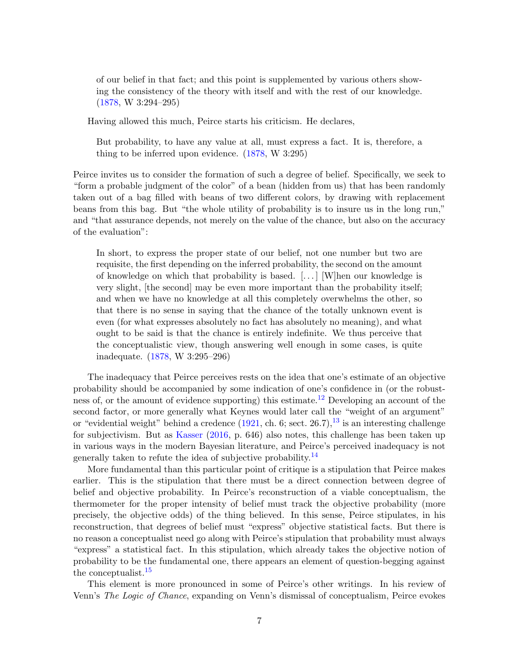of our belief in that fact; and this point is supplemented by various others showing the consistency of the theory with itself and with the rest of our knowledge. [\(1878,](#page-22-0) W 3:294–295)

Having allowed this much, Peirce starts his criticism. He declares,

But probability, to have any value at all, must express a fact. It is, therefore, a thing to be inferred upon evidence. [\(1878,](#page-22-0) W 3:295)

Peirce invites us to consider the formation of such a degree of belief. Specifically, we seek to "form a probable judgment of the color" of a bean (hidden from us) that has been randomly taken out of a bag filled with beans of two different colors, by drawing with replacement beans from this bag. But "the whole utility of probability is to insure us in the long run," and "that assurance depends, not merely on the value of the chance, but also on the accuracy of the evaluation":

In short, to express the proper state of our belief, not one number but two are requisite, the first depending on the inferred probability, the second on the amount of knowledge on which that probability is based.  $[\dots]$  W hen our knowledge is very slight, [the second] may be even more important than the probability itself; and when we have no knowledge at all this completely overwhelms the other, so that there is no sense in saying that the chance of the totally unknown event is even (for what expresses absolutely no fact has absolutely no meaning), and what ought to be said is that the chance is entirely indefinite. We thus perceive that the conceptualistic view, though answering well enough in some cases, is quite inadequate. [\(1878,](#page-22-0) W 3:295–296)

The inadequacy that Peirce perceives rests on the idea that one's estimate of an objective probability should be accompanied by some indication of one's confidence in (or the robust-ness of, or the amount of evidence supporting) this estimate.<sup>[12](#page-17-7)</sup> Developing an account of the second factor, or more generally what Keynes would later call the "weight of an argument" or "evidential weight" behind a credence  $(1921, ch. 6; sect. 26.7),<sup>13</sup>$  $(1921, ch. 6; sect. 26.7),<sup>13</sup>$  $(1921, ch. 6; sect. 26.7),<sup>13</sup>$  $(1921, ch. 6; sect. 26.7),<sup>13</sup>$  is an interesting challenge for subjectivism. But as [Kasser](#page-21-4) [\(2016,](#page-21-4) p. 646) also notes, this challenge has been taken up in various ways in the modern Bayesian literature, and Peirce's perceived inadequacy is not generally taken to refute the idea of subjective probability.<sup>[14](#page-17-9)</sup>

More fundamental than this particular point of critique is a stipulation that Peirce makes earlier. This is the stipulation that there must be a direct connection between degree of belief and objective probability. In Peirce's reconstruction of a viable conceptualism, the thermometer for the proper intensity of belief must track the objective probability (more precisely, the objective odds) of the thing believed. In this sense, Peirce stipulates, in his reconstruction, that degrees of belief must "express" objective statistical facts. But there is no reason a conceptualist need go along with Peirce's stipulation that probability must always "express" a statistical fact. In this stipulation, which already takes the objective notion of probability to be the fundamental one, there appears an element of question-begging against the conceptualist.[15](#page-17-10)

This element is more pronounced in some of Peirce's other writings. In his review of Venn's The Logic of Chance, expanding on Venn's dismissal of conceptualism, Peirce evokes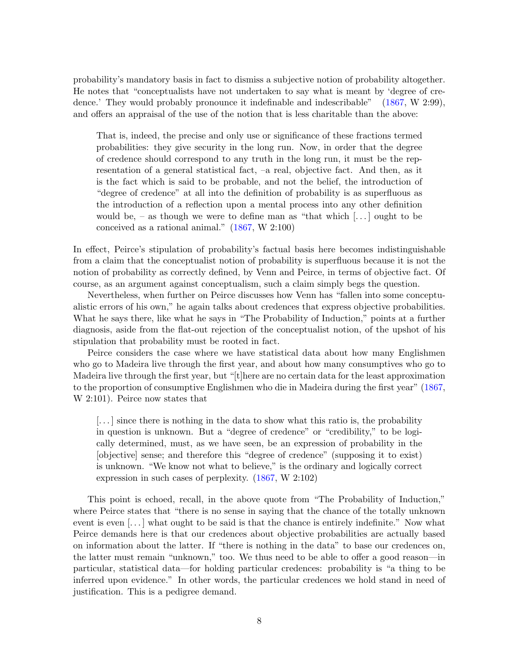probability's mandatory basis in fact to dismiss a subjective notion of probability altogether. He notes that "conceptualists have not undertaken to say what is meant by 'degree of credence.' They would probably pronounce it indefinable and indescribable" [\(1867,](#page-22-0) W 2:99), and offers an appraisal of the use of the notion that is less charitable than the above:

That is, indeed, the precise and only use or significance of these fractions termed probabilities: they give security in the long run. Now, in order that the degree of credence should correspond to any truth in the long run, it must be the representation of a general statistical fact, –a real, objective fact. And then, as it is the fact which is said to be probable, and not the belief, the introduction of "degree of credence" at all into the definition of probability is as superfluous as the introduction of a reflection upon a mental process into any other definition would be, – as though we were to define man as "that which  $[\dots]$  ought to be conceived as a rational animal." [\(1867,](#page-22-0) W 2:100)

In effect, Peirce's stipulation of probability's factual basis here becomes indistinguishable from a claim that the conceptualist notion of probability is superfluous because it is not the notion of probability as correctly defined, by Venn and Peirce, in terms of objective fact. Of course, as an argument against conceptualism, such a claim simply begs the question.

Nevertheless, when further on Peirce discusses how Venn has "fallen into some conceptualistic errors of his own," he again talks about credences that express objective probabilities. What he says there, like what he says in "The Probability of Induction," points at a further diagnosis, aside from the flat-out rejection of the conceptualist notion, of the upshot of his stipulation that probability must be rooted in fact.

Peirce considers the case where we have statistical data about how many Englishmen who go to Madeira live through the first year, and about how many consumptives who go to Madeira live through the first year, but "[t]here are no certain data for the least approximation to the proportion of consumptive Englishmen who die in Madeira during the first year" [\(1867,](#page-22-0) W 2:101). Peirce now states that

 $\left[\ldots\right]$  since there is nothing in the data to show what this ratio is, the probability in question is unknown. But a "degree of credence" or "credibility," to be logically determined, must, as we have seen, be an expression of probability in the [objective] sense; and therefore this "degree of credence" (supposing it to exist) is unknown. "We know not what to believe," is the ordinary and logically correct expression in such cases of perplexity. [\(1867,](#page-22-0) W 2:102)

This point is echoed, recall, in the above quote from "The Probability of Induction," where Peirce states that "there is no sense in saying that the chance of the totally unknown event is even [...] what ought to be said is that the chance is entirely indefinite." Now what Peirce demands here is that our credences about objective probabilities are actually based on information about the latter. If "there is nothing in the data" to base our credences on, the latter must remain "unknown," too. We thus need to be able to offer a good reason—in particular, statistical data—for holding particular credences: probability is "a thing to be inferred upon evidence." In other words, the particular credences we hold stand in need of justification. This is a pedigree demand.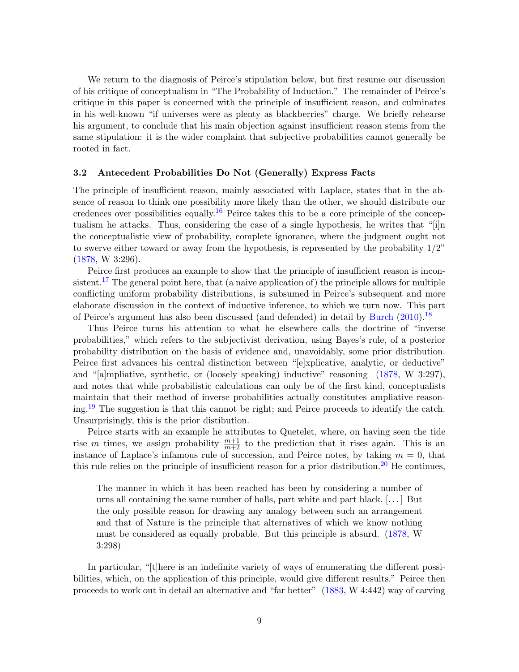We return to the diagnosis of Peirce's stipulation below, but first resume our discussion of his critique of conceptualism in "The Probability of Induction." The remainder of Peirce's critique in this paper is concerned with the principle of insufficient reason, and culminates in his well-known "if universes were as plenty as blackberries" charge. We briefly rehearse his argument, to conclude that his main objection against insufficient reason stems from the same stipulation: it is the wider complaint that subjective probabilities cannot generally be rooted in fact.

# 3.2 Antecedent Probabilities Do Not (Generally) Express Facts

The principle of insufficient reason, mainly associated with Laplace, states that in the absence of reason to think one possibility more likely than the other, we should distribute our credences over possibilities equally.<sup>[16](#page-17-11)</sup> Peirce takes this to be a core principle of the conceptualism he attacks. Thus, considering the case of a single hypothesis, he writes that "[i]n the conceptualistic view of probability, complete ignorance, where the judgment ought not to swerve either toward or away from the hypothesis, is represented by the probability  $1/2$ " [\(1878,](#page-22-0) W 3:296).

Peirce first produces an example to show that the principle of insufficient reason is incon-sistent.<sup>[17](#page-17-12)</sup> The general point here, that (a naive application of) the principle allows for multiple conflicting uniform probability distributions, is subsumed in Peirce's subsequent and more elaborate discussion in the context of inductive inference, to which we turn now. This part of Peirce's argument has also been discussed (and defended) in detail by [Burch](#page-20-3) [\(2010\)](#page-20-3).[18](#page-17-13)

Thus Peirce turns his attention to what he elsewhere calls the doctrine of "inverse probabilities," which refers to the subjectivist derivation, using Bayes's rule, of a posterior probability distribution on the basis of evidence and, unavoidably, some prior distribution. Peirce first advances his central distinction between "[e]xplicative, analytic, or deductive" and "[a]mpliative, synthetic, or (loosely speaking) inductive" reasoning [\(1878,](#page-22-0) W 3:297), and notes that while probabilistic calculations can only be of the first kind, conceptualists maintain that their method of inverse probabilities actually constitutes ampliative reasoning.[19](#page-18-0) The suggestion is that this cannot be right; and Peirce proceeds to identify the catch. Unsurprisingly, this is the prior distibution.

Peirce starts with an example he attributes to Quetelet, where, on having seen the tide rise m times, we assign probability  $\frac{m+1}{m+2}$  to the prediction that it rises again. This is an instance of Laplace's infamous rule of succession, and Peirce notes, by taking  $m = 0$ , that this rule relies on the principle of insufficient reason for a prior distribution.<sup>[20](#page-18-1)</sup> He continues,

The manner in which it has been reached has been by considering a number of urns all containing the same number of balls, part white and part black. [. . . ] But the only possible reason for drawing any analogy between such an arrangement and that of Nature is the principle that alternatives of which we know nothing must be considered as equally probable. But this principle is absurd. [\(1878,](#page-22-0) W 3:298)

In particular, "[t]here is an indefinite variety of ways of enumerating the different possibilities, which, on the application of this principle, would give different results." Peirce then proceeds to work out in detail an alternative and "far better" [\(1883,](#page-22-0) W 4:442) way of carving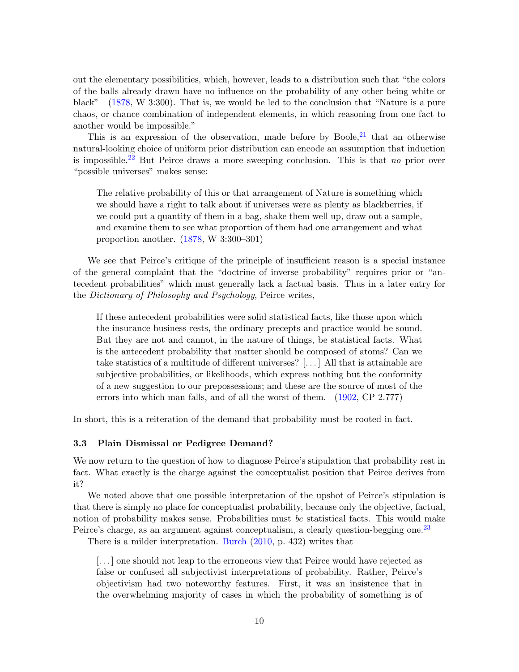out the elementary possibilities, which, however, leads to a distribution such that "the colors of the balls already drawn have no influence on the probability of any other being white or black" [\(1878,](#page-22-0) W 3:300). That is, we would be led to the conclusion that "Nature is a pure chaos, or chance combination of independent elements, in which reasoning from one fact to another would be impossible."

This is an expression of the observation, made before by Boole, $^{21}$  $^{21}$  $^{21}$  that an otherwise natural-looking choice of uniform prior distribution can encode an assumption that induction is impossible.<sup>[22](#page-18-3)</sup> But Peirce draws a more sweeping conclusion. This is that no prior over "possible universes" makes sense:

The relative probability of this or that arrangement of Nature is something which we should have a right to talk about if universes were as plenty as blackberries, if we could put a quantity of them in a bag, shake them well up, draw out a sample, and examine them to see what proportion of them had one arrangement and what proportion another. [\(1878,](#page-22-0) W 3:300–301)

We see that Peirce's critique of the principle of insufficient reason is a special instance of the general complaint that the "doctrine of inverse probability" requires prior or "antecedent probabilities" which must generally lack a factual basis. Thus in a later entry for the Dictionary of Philosophy and Psychology, Peirce writes,

If these antecedent probabilities were solid statistical facts, like those upon which the insurance business rests, the ordinary precepts and practice would be sound. But they are not and cannot, in the nature of things, be statistical facts. What is the antecedent probability that matter should be composed of atoms? Can we take statistics of a multitude of different universes? [. . . ] All that is attainable are subjective probabilities, or likelihoods, which express nothing but the conformity of a new suggestion to our prepossessions; and these are the source of most of the errors into which man falls, and of all the worst of them. [\(1902,](#page-21-3) CP 2.777)

<span id="page-9-0"></span>In short, this is a reiteration of the demand that probability must be rooted in fact.

# 3.3 Plain Dismissal or Pedigree Demand?

We now return to the question of how to diagnose Peirce's stipulation that probability rest in fact. What exactly is the charge against the conceptualist position that Peirce derives from it?

We noted above that one possible interpretation of the upshot of Peirce's stipulation is that there is simply no place for conceptualist probability, because only the objective, factual, notion of probability makes sense. Probabilities must be statistical facts. This would make Peirce's charge, as an argument against conceptualism, a clearly question-begging one.<sup>[23](#page-18-4)</sup>

There is a milder interpretation. [Burch](#page-20-3) [\(2010,](#page-20-3) p. 432) writes that

[. . . ] one should not leap to the erroneous view that Peirce would have rejected as false or confused all subjectivist interpretations of probability. Rather, Peirce's objectivism had two noteworthy features. First, it was an insistence that in the overwhelming majority of cases in which the probability of something is of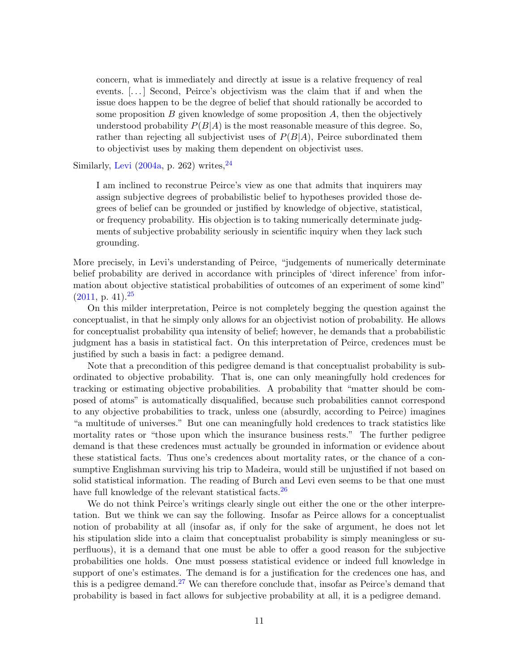concern, what is immediately and directly at issue is a relative frequency of real events. [. . . ] Second, Peirce's objectivism was the claim that if and when the issue does happen to be the degree of belief that should rationally be accorded to some proposition  $B$  given knowledge of some proposition  $A$ , then the objectively understood probability  $P(B|A)$  is the most reasonable measure of this degree. So, rather than rejecting all subjectivist uses of  $P(B|A)$ , Peirce subordinated them to objectivist uses by making them dependent on objectivist uses.

Similarly, [Levi](#page-21-6)  $(2004a, p. 262)$  $(2004a, p. 262)$  writes,  $^{24}$  $^{24}$  $^{24}$ 

I am inclined to reconstrue Peirce's view as one that admits that inquirers may assign subjective degrees of probabilistic belief to hypotheses provided those degrees of belief can be grounded or justified by knowledge of objective, statistical, or frequency probability. His objection is to taking numerically determinate judgments of subjective probability seriously in scientific inquiry when they lack such grounding.

More precisely, in Levi's understanding of Peirce, "judgements of numerically determinate belief probability are derived in accordance with principles of 'direct inference' from information about objective statistical probabilities of outcomes of an experiment of some kind"  $(2011, p. 41).$  $(2011, p. 41).$ <sup>[25](#page-18-6)</sup>

On this milder interpretation, Peirce is not completely begging the question against the conceptualist, in that he simply only allows for an objectivist notion of probability. He allows for conceptualist probability qua intensity of belief; however, he demands that a probabilistic judgment has a basis in statistical fact. On this interpretation of Peirce, credences must be justified by such a basis in fact: a pedigree demand.

Note that a precondition of this pedigree demand is that conceptualist probability is subordinated to objective probability. That is, one can only meaningfully hold credences for tracking or estimating objective probabilities. A probability that "matter should be composed of atoms" is automatically disqualified, because such probabilities cannot correspond to any objective probabilities to track, unless one (absurdly, according to Peirce) imagines "a multitude of universes." But one can meaningfully hold credences to track statistics like mortality rates or "those upon which the insurance business rests." The further pedigree demand is that these credences must actually be grounded in information or evidence about these statistical facts. Thus one's credences about mortality rates, or the chance of a consumptive Englishman surviving his trip to Madeira, would still be unjustified if not based on solid statistical information. The reading of Burch and Levi even seems to be that one must have full knowledge of the relevant statistical facts.<sup>[26](#page-18-7)</sup>

<span id="page-10-0"></span>We do not think Peirce's writings clearly single out either the one or the other interpretation. But we think we can say the following. Insofar as Peirce allows for a conceptualist notion of probability at all (insofar as, if only for the sake of argument, he does not let his stipulation slide into a claim that conceptualist probability is simply meaningless or superfluous), it is a demand that one must be able to offer a good reason for the subjective probabilities one holds. One must possess statistical evidence or indeed full knowledge in support of one's estimates. The demand is for a justification for the credences one has, and this is a pedigree demand.<sup>[27](#page-18-8)</sup> We can therefore conclude that, insofar as Peirce's demand that probability is based in fact allows for subjective probability at all, it is a pedigree demand.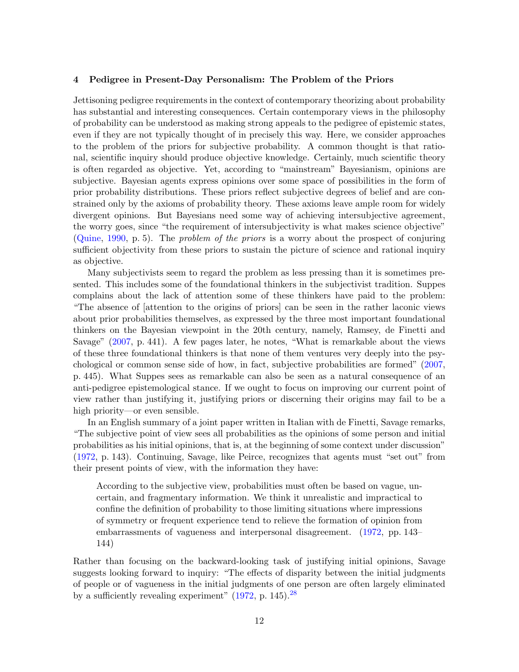## 4 Pedigree in Present-Day Personalism: The Problem of the Priors

Jettisoning pedigree requirements in the context of contemporary theorizing about probability has substantial and interesting consequences. Certain contemporary views in the philosophy of probability can be understood as making strong appeals to the pedigree of epistemic states, even if they are not typically thought of in precisely this way. Here, we consider approaches to the problem of the priors for subjective probability. A common thought is that rational, scientific inquiry should produce objective knowledge. Certainly, much scientific theory is often regarded as objective. Yet, according to "mainstream" Bayesianism, opinions are subjective. Bayesian agents express opinions over some space of possibilities in the form of prior probability distributions. These priors reflect subjective degrees of belief and are constrained only by the axioms of probability theory. These axioms leave ample room for widely divergent opinions. But Bayesians need some way of achieving intersubjective agreement, the worry goes, since "the requirement of intersubjectivity is what makes science objective" [\(Quine,](#page-22-2) [1990,](#page-22-2) p. 5). The problem of the priors is a worry about the prospect of conjuring sufficient objectivity from these priors to sustain the picture of science and rational inquiry as objective.

Many subjectivists seem to regard the problem as less pressing than it is sometimes presented. This includes some of the foundational thinkers in the subjectivist tradition. Suppes complains about the lack of attention some of these thinkers have paid to the problem: "The absence of [attention to the origins of priors] can be seen in the rather laconic views about prior probabilities themselves, as expressed by the three most important foundational thinkers on the Bayesian viewpoint in the 20th century, namely, Ramsey, de Finetti and Savage" [\(2007,](#page-22-3) p. 441). A few pages later, he notes, "What is remarkable about the views of these three foundational thinkers is that none of them ventures very deeply into the psychological or common sense side of how, in fact, subjective probabilities are formed" [\(2007,](#page-22-3) p. 445). What Suppes sees as remarkable can also be seen as a natural consequence of an anti-pedigree epistemological stance. If we ought to focus on improving our current point of view rather than justifying it, justifying priors or discerning their origins may fail to be a high priority—or even sensible.

In an English summary of a joint paper written in Italian with de Finetti, Savage remarks, "The subjective point of view sees all probabilities as the opinions of some person and initial probabilities as his initial opinions, that is, at the beginning of some context under discussion" [\(1972,](#page-20-4) p. 143). Continuing, Savage, like Peirce, recognizes that agents must "set out" from their present points of view, with the information they have:

According to the subjective view, probabilities must often be based on vague, uncertain, and fragmentary information. We think it unrealistic and impractical to confine the definition of probability to those limiting situations where impressions of symmetry or frequent experience tend to relieve the formation of opinion from embarrassments of vagueness and interpersonal disagreement. [\(1972,](#page-20-4) pp. 143– 144)

Rather than focusing on the backward-looking task of justifying initial opinions, Savage suggests looking forward to inquiry: "The effects of disparity between the initial judgments of people or of vagueness in the initial judgments of one person are often largely eliminated by a sufficiently revealing experiment"  $(1972, p. 145).^{28}$  $(1972, p. 145).^{28}$  $(1972, p. 145).^{28}$  $(1972, p. 145).^{28}$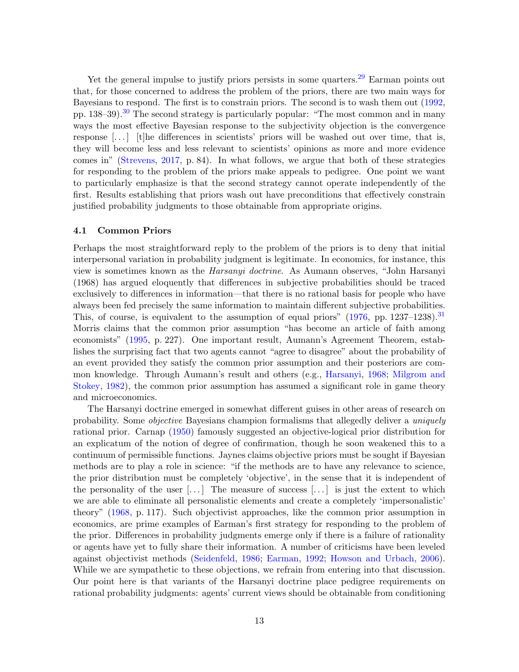Yet the general impulse to justify priors persists in some quarters.<sup>[29](#page-18-10)</sup> Earman points out that, for those concerned to address the problem of the priors, there are two main ways for Bayesians to respond. The first is to constrain priors. The second is to wash them out [\(1992,](#page-20-5) pp.  $138-39$ .<sup>[30](#page-19-0)</sup> The second strategy is particularly popular: "The most common and in many ways the most effective Bayesian response to the subjectivity objection is the convergence response  $[\ldots]$  [t]he differences in scientists' priors will be washed out over time, that is, they will become less and less relevant to scientists' opinions as more and more evidence comes in" [\(Strevens,](#page-22-4) [2017,](#page-22-4) p. 84). In what follows, we argue that both of these strategies for responding to the problem of the priors make appeals to pedigree. One point we want to particularly emphasize is that the second strategy cannot operate independently of the first. Results establishing that priors wash out have preconditions that effectively constrain justified probability judgments to those obtainable from appropriate origins.

### 4.1 Common Priors

Perhaps the most straightforward reply to the problem of the priors is to deny that initial interpersonal variation in probability judgment is legitimate. In economics, for instance, this view is sometimes known as the Harsanyi doctrine. As Aumann observes, "John Harsanyi (1968) has argued eloquently that differences in subjective probabilities should be traced exclusively to differences in information—that there is no rational basis for people who have always been fed precisely the same information to maintain different subjective probabilities. This, of course, is equivalent to the assumption of equal priors"  $(1976, pp. 1237-1238).$  $(1976, pp. 1237-1238).$ <sup>[31](#page-19-2)</sup> Morris claims that the common prior assumption "has become an article of faith among economists" [\(1995,](#page-21-8) p. 227). One important result, Aumann's Agreement Theorem, establishes the surprising fact that two agents cannot "agree to disagree" about the probability of an event provided they satisfy the common prior assumption and their posteriors are common knowledge. Through Aumann's result and others (e.g., [Harsanyi,](#page-20-6) [1968;](#page-20-6) [Milgrom and](#page-21-9) [Stokey,](#page-21-9) [1982\)](#page-21-9), the common prior assumption has assumed a significant role in game theory and microeconomics.

The Harsanyi doctrine emerged in somewhat different guises in other areas of research on probability. Some objective Bayesians champion formalisms that allegedly deliver a uniquely rational prior. Carnap [\(1950\)](#page-20-7) famously suggested an objective-logical prior distribution for an explicatum of the notion of degree of confirmation, though he soon weakened this to a continuum of permissible functions. Jaynes claims objective priors must be sought if Bayesian methods are to play a role in science: "if the methods are to have any relevance to science, the prior distribution must be completely 'objective', in the sense that it is independent of the personality of the user  $[\dots]$  The measure of success  $[\dots]$  is just the extent to which we are able to eliminate all personalistic elements and create a completely 'impersonalistic' theory" [\(1968,](#page-20-8) p. 117). Such objectivist approaches, like the common prior assumption in economics, are prime examples of Earman's first strategy for responding to the problem of the prior. Differences in probability judgments emerge only if there is a failure of rationality or agents have yet to fully share their information. A number of criticisms have been leveled against objectivist methods [\(Seidenfeld,](#page-22-5) [1986;](#page-22-5) [Earman,](#page-20-5) [1992;](#page-20-5) [Howson and Urbach,](#page-20-9) [2006\)](#page-20-9). While we are sympathetic to these objections, we refrain from entering into that discussion. Our point here is that variants of the Harsanyi doctrine place pedigree requirements on rational probability judgments: agents' current views should be obtainable from conditioning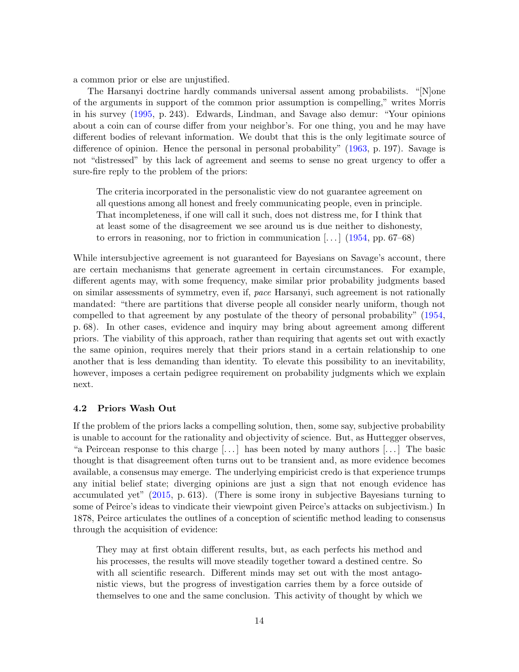a common prior or else are unjustified.

The Harsanyi doctrine hardly commands universal assent among probabilists. "[N]one of the arguments in support of the common prior assumption is compelling," writes Morris in his survey [\(1995,](#page-21-8) p. 243). Edwards, Lindman, and Savage also demur: "Your opinions about a coin can of course differ from your neighbor's. For one thing, you and he may have different bodies of relevant information. We doubt that this is the only legitimate source of difference of opinion. Hence the personal in personal probability" [\(1963,](#page-20-10) p. 197). Savage is not "distressed" by this lack of agreement and seems to sense no great urgency to offer a sure-fire reply to the problem of the priors:

The criteria incorporated in the personalistic view do not guarantee agreement on all questions among all honest and freely communicating people, even in principle. That incompleteness, if one will call it such, does not distress me, for I think that at least some of the disagreement we see around us is due neither to dishonesty, to errors in reasoning, nor to friction in communication  $\left[\ldots\right]$  [\(1954,](#page-22-6) pp. 67–68)

While intersubjective agreement is not guaranteed for Bayesians on Savage's account, there are certain mechanisms that generate agreement in certain circumstances. For example, different agents may, with some frequency, make similar prior probability judgments based on similar assessments of symmetry, even if, pace Harsanyi, such agreement is not rationally mandated: "there are partitions that diverse people all consider nearly uniform, though not compelled to that agreement by any postulate of the theory of personal probability" [\(1954,](#page-22-6) p. 68). In other cases, evidence and inquiry may bring about agreement among different priors. The viability of this approach, rather than requiring that agents set out with exactly the same opinion, requires merely that their priors stand in a certain relationship to one another that is less demanding than identity. To elevate this possibility to an inevitability, however, imposes a certain pedigree requirement on probability judgments which we explain next.

# 4.2 Priors Wash Out

If the problem of the priors lacks a compelling solution, then, some say, subjective probability is unable to account for the rationality and objectivity of science. But, as Huttegger observes, "a Peircean response to this charge  $[\ldots]$  has been noted by many authors  $[\ldots]$  The basic thought is that disagreement often turns out to be transient and, as more evidence becomes available, a consensus may emerge. The underlying empiricist credo is that experience trumps any initial belief state; diverging opinions are just a sign that not enough evidence has accumulated yet" [\(2015,](#page-20-11) p. 613). (There is some irony in subjective Bayesians turning to some of Peirce's ideas to vindicate their viewpoint given Peirce's attacks on subjectivism.) In 1878, Peirce articulates the outlines of a conception of scientific method leading to consensus through the acquisition of evidence:

They may at first obtain different results, but, as each perfects his method and his processes, the results will move steadily together toward a destined centre. So with all scientific research. Different minds may set out with the most antagonistic views, but the progress of investigation carries them by a force outside of themselves to one and the same conclusion. This activity of thought by which we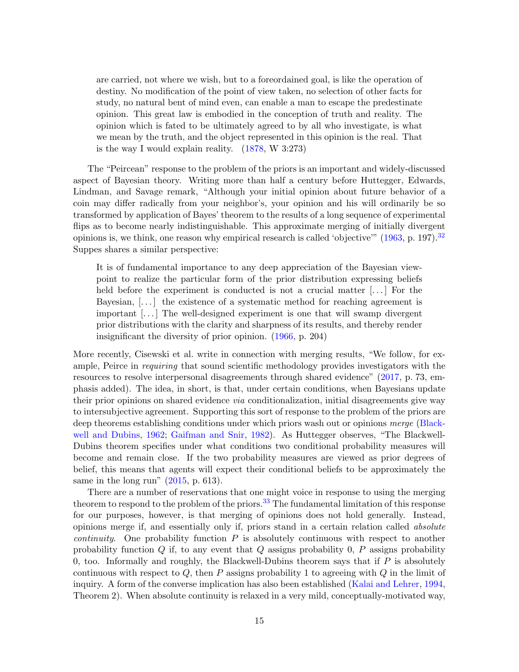are carried, not where we wish, but to a foreordained goal, is like the operation of destiny. No modification of the point of view taken, no selection of other facts for study, no natural bent of mind even, can enable a man to escape the predestinate opinion. This great law is embodied in the conception of truth and reality. The opinion which is fated to be ultimately agreed to by all who investigate, is what we mean by the truth, and the object represented in this opinion is the real. That is the way I would explain reality. [\(1878,](#page-22-0) W 3:273)

The "Peircean" response to the problem of the priors is an important and widely-discussed aspect of Bayesian theory. Writing more than half a century before Huttegger, Edwards, Lindman, and Savage remark, "Although your initial opinion about future behavior of a coin may differ radically from your neighbor's, your opinion and his will ordinarily be so transformed by application of Bayes' theorem to the results of a long sequence of experimental flips as to become nearly indistinguishable. This approximate merging of initially divergent opinions is, we think, one reason why empirical research is called 'objective'"  $(1963, p. 197).$  $(1963, p. 197).$ <sup>[32](#page-19-3)</sup> Suppes shares a similar perspective:

It is of fundamental importance to any deep appreciation of the Bayesian viewpoint to realize the particular form of the prior distribution expressing beliefs held before the experiment is conducted is not a crucial matter  $[\dots]$  For the Bayesian,  $[\dots]$  the existence of a systematic method for reaching agreement is important [. . . ] The well-designed experiment is one that will swamp divergent prior distributions with the clarity and sharpness of its results, and thereby render insignificant the diversity of prior opinion. [\(1966,](#page-22-7) p. 204)

More recently, Cisewski et al. write in connection with merging results, "We follow, for example, Peirce in requiring that sound scientific methodology provides investigators with the resources to resolve interpersonal disagreements through shared evidence" [\(2017,](#page-20-12) p. 73, emphasis added). The idea, in short, is that, under certain conditions, when Bayesians update their prior opinions on shared evidence via conditionalization, initial disagreements give way to intersubjective agreement. Supporting this sort of response to the problem of the priors are deep theorems establishing conditions under which priors wash out or opinions merge [\(Black](#page-19-4)[well and Dubins,](#page-19-4) [1962;](#page-19-4) [Gaifman and Snir,](#page-20-13) [1982\)](#page-20-13). As Huttegger observes, "The Blackwell-Dubins theorem specifies under what conditions two conditional probability measures will become and remain close. If the two probability measures are viewed as prior degrees of belief, this means that agents will expect their conditional beliefs to be approximately the same in the long run" [\(2015,](#page-20-11) p. 613).

There are a number of reservations that one might voice in response to using the merging theorem to respond to the problem of the priors.<sup>[33](#page-19-5)</sup> The fundamental limitation of this response for our purposes, however, is that merging of opinions does not hold generally. Instead, opinions merge if, and essentially only if, priors stand in a certain relation called absolute *continuity.* One probability function  $P$  is absolutely continuous with respect to another probability function  $Q$  if, to any event that  $Q$  assigns probability 0,  $P$  assigns probability 0, too. Informally and roughly, the Blackwell-Dubins theorem says that if  $P$  is absolutely continuous with respect to  $Q$ , then P assigns probability 1 to agreeing with  $Q$  in the limit of inquiry. A form of the converse implication has also been established [\(Kalai and Lehrer,](#page-21-10) [1994,](#page-21-10) Theorem 2). When absolute continuity is relaxed in a very mild, conceptually-motivated way,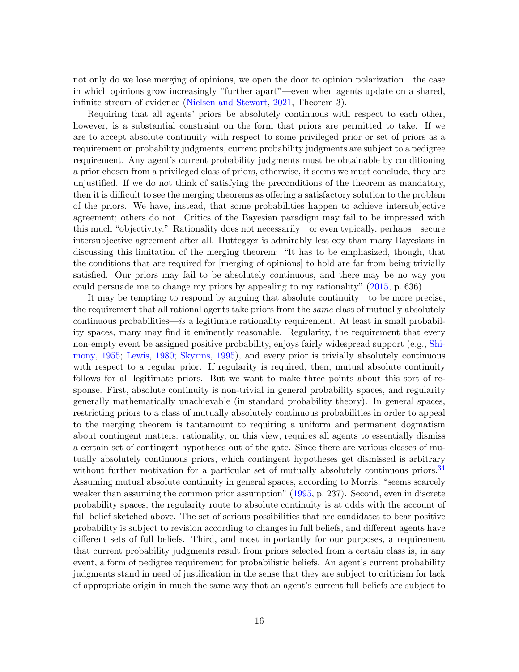not only do we lose merging of opinions, we open the door to opinion polarization—the case in which opinions grow increasingly "further apart"—even when agents update on a shared, infinite stream of evidence [\(Nielsen and Stewart,](#page-21-11) [2021,](#page-21-11) Theorem 3).

Requiring that all agents' priors be absolutely continuous with respect to each other, however, is a substantial constraint on the form that priors are permitted to take. If we are to accept absolute continuity with respect to some privileged prior or set of priors as a requirement on probability judgments, current probability judgments are subject to a pedigree requirement. Any agent's current probability judgments must be obtainable by conditioning a prior chosen from a privileged class of priors, otherwise, it seems we must conclude, they are unjustified. If we do not think of satisfying the preconditions of the theorem as mandatory, then it is difficult to see the merging theorems as offering a satisfactory solution to the problem of the priors. We have, instead, that some probabilities happen to achieve intersubjective agreement; others do not. Critics of the Bayesian paradigm may fail to be impressed with this much "objectivity." Rationality does not necessarily—or even typically, perhaps—secure intersubjective agreement after all. Huttegger is admirably less coy than many Bayesians in discussing this limitation of the merging theorem: "It has to be emphasized, though, that the conditions that are required for [merging of opinions] to hold are far from being trivially satisfied. Our priors may fail to be absolutely continuous, and there may be no way you could persuade me to change my priors by appealing to my rationality" [\(2015,](#page-20-11) p. 636).

It may be tempting to respond by arguing that absolute continuity—to be more precise, the requirement that all rational agents take priors from the *same* class of mutually absolutely  $\alpha$  continuous probabilities—is a legitimate rationality requirement. At least in small probability spaces, many may find it eminently reasonable. Regularity, the requirement that every non-empty event be assigned positive probability, enjoys fairly widespread support (e.g., [Shi](#page-22-8)[mony,](#page-22-8) [1955;](#page-22-8) [Lewis,](#page-21-12) [1980;](#page-21-12) [Skyrms,](#page-22-9) [1995\)](#page-22-9), and every prior is trivially absolutely continuous with respect to a regular prior. If regularity is required, then, mutual absolute continuity follows for all legitimate priors. But we want to make three points about this sort of response. First, absolute continuity is non-trivial in general probability spaces, and regularity generally mathematically unachievable (in standard probability theory). In general spaces, restricting priors to a class of mutually absolutely continuous probabilities in order to appeal to the merging theorem is tantamount to requiring a uniform and permanent dogmatism about contingent matters: rationality, on this view, requires all agents to essentially dismiss a certain set of contingent hypotheses out of the gate. Since there are various classes of mutually absolutely continuous priors, which contingent hypotheses get dismissed is arbitrary without further motivation for a particular set of mutually absolutely continuous priors.<sup>[34](#page-19-6)</sup> Assuming mutual absolute continuity in general spaces, according to Morris, "seems scarcely weaker than assuming the common prior assumption" [\(1995,](#page-21-8) p. 237). Second, even in discrete probability spaces, the regularity route to absolute continuity is at odds with the account of full belief sketched above. The set of serious possibilities that are candidates to bear positive probability is subject to revision according to changes in full beliefs, and different agents have different sets of full beliefs. Third, and most importantly for our purposes, a requirement that current probability judgments result from priors selected from a certain class is, in any event, a form of pedigree requirement for probabilistic beliefs. An agent's current probability judgments stand in need of justification in the sense that they are subject to criticism for lack of appropriate origin in much the same way that an agent's current full beliefs are subject to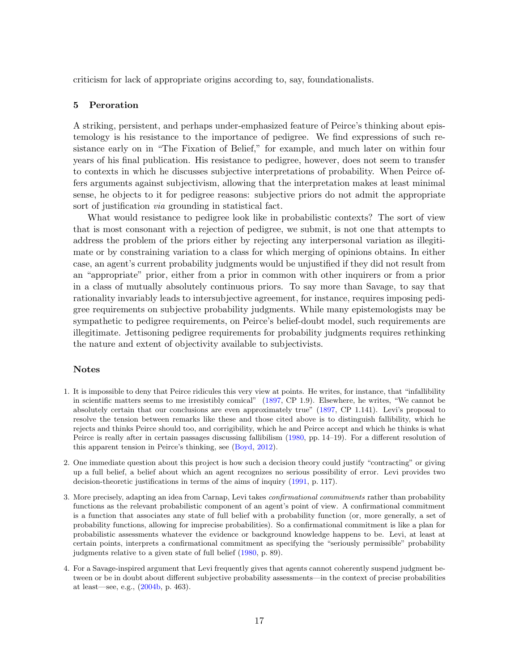<span id="page-16-4"></span>criticism for lack of appropriate origins according to, say, foundationalists.

#### 5 Peroration

A striking, persistent, and perhaps under-emphasized feature of Peirce's thinking about epistemology is his resistance to the importance of pedigree. We find expressions of such resistance early on in "The Fixation of Belief," for example, and much later on within four years of his final publication. His resistance to pedigree, however, does not seem to transfer to contexts in which he discusses subjective interpretations of probability. When Peirce offers arguments against subjectivism, allowing that the interpretation makes at least minimal sense, he objects to it for pedigree reasons: subjective priors do not admit the appropriate sort of justification via grounding in statistical fact.

What would resistance to pedigree look like in probabilistic contexts? The sort of view that is most consonant with a rejection of pedigree, we submit, is not one that attempts to address the problem of the priors either by rejecting any interpersonal variation as illegitimate or by constraining variation to a class for which merging of opinions obtains. In either case, an agent's current probability judgments would be unjustified if they did not result from an "appropriate" prior, either from a prior in common with other inquirers or from a prior in a class of mutually absolutely continuous priors. To say more than Savage, to say that rationality invariably leads to intersubjective agreement, for instance, requires imposing pedigree requirements on subjective probability judgments. While many epistemologists may be sympathetic to pedigree requirements, on Peirce's belief-doubt model, such requirements are illegitimate. Jettisoning pedigree requirements for probability judgments requires rethinking the nature and extent of objectivity available to subjectivists.

## Notes

- <span id="page-16-0"></span>1. It is impossible to deny that Peirce ridicules this very view at points. He writes, for instance, that "infallibility in scientific matters seems to me irresistibly comical" [\(1897,](#page-21-3) CP 1.9). Elsewhere, he writes, "We cannot be absolutely certain that our conclusions are even approximately true" [\(1897,](#page-21-3) CP 1.141). Levi's proposal to resolve the tension between remarks like these and those cited above is to distinguish fallibility, which he rejects and thinks Peirce should too, and corrigibility, which he and Peirce accept and which he thinks is what Peirce is really after in certain passages discussing fallibilism [\(1980,](#page-21-2) pp. 14–19). For a different resolution of this apparent tension in Peirce's thinking, see [\(Boyd,](#page-19-7) [2012\)](#page-19-7).
- <span id="page-16-1"></span>2. One immediate question about this project is how such a decision theory could justify "contracting" or giving up a full belief, a belief about which an agent recognizes no serious possibility of error. Levi provides two decision-theoretic justifications in terms of the aims of inquiry [\(1991,](#page-21-1) p. 117).
- <span id="page-16-2"></span>3. More precisely, adapting an idea from Carnap, Levi takes confirmational commitments rather than probability functions as the relevant probabilistic component of an agent's point of view. A confirmational commitment is a function that associates any state of full belief with a probability function (or, more generally, a set of probability functions, allowing for imprecise probabilities). So a confirmational commitment is like a plan for probabilistic assessments whatever the evidence or background knowledge happens to be. Levi, at least at certain points, interprets a confirmational commitment as specifying the "seriously permissible" probability judgments relative to a given state of full belief [\(1980,](#page-21-2) p. 89).
- <span id="page-16-3"></span>4. For a Savage-inspired argument that Levi frequently gives that agents cannot coherently suspend judgment between or be in doubt about different subjective probability assessments—in the context of precise probabilities at least—see, e.g., [\(2004b,](#page-21-13) p. 463).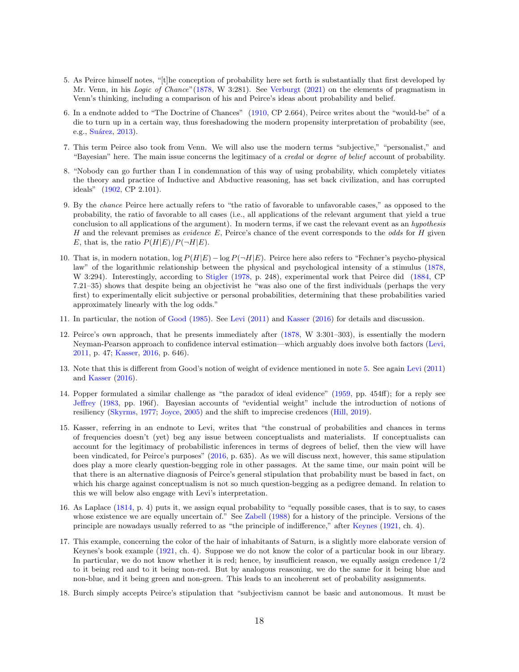- <span id="page-17-0"></span>5. As Peirce himself notes, "[t]he conception of probability here set forth is substantially that first developed by Mr. Venn, in his Logic of Chance" [\(1878,](#page-22-0) W 3:281). See [Verburgt](#page-22-10) [\(2021\)](#page-22-10) on the elements of pragmatism in Venn's thinking, including a comparison of his and Peirce's ideas about probability and belief.
- <span id="page-17-1"></span>6. In a endnote added to "The Doctrine of Chances" [\(1910,](#page-21-3) CP 2.664), Peirce writes about the "would-be" of a die to turn up in a certain way, thus foreshadowing the modern propensity interpretation of probability (see, e.g., Suárez, [2013\)](#page-22-11).
- <span id="page-17-2"></span>7. This term Peirce also took from Venn. We will also use the modern terms "subjective," "personalist," and "Bayesian" here. The main issue concerns the legitimacy of a *credal* or *degree of belief* account of probability.
- <span id="page-17-3"></span>8. "Nobody can go further than I in condemnation of this way of using probability, which completely vitiates the theory and practice of Inductive and Abductive reasoning, has set back civilization, and has corrupted ideals" [\(1902,](#page-21-3) CP 2.101).
- <span id="page-17-4"></span>9. By the chance Peirce here actually refers to "the ratio of favorable to unfavorable cases," as opposed to the probability, the ratio of favorable to all cases (i.e., all applications of the relevant argument that yield a true conclusion to all applications of the argument). In modern terms, if we cast the relevant event as an hypothesis H and the relevant premises as *evidence*  $E$ , Peirce's chance of the event corresponds to the *odds* for H given E, that is, the ratio  $P(H|E)/P(\neg H|E)$ .
- <span id="page-17-5"></span>10. That is, in modern notation,  $\log P(H|E) - \log P(\neg H|E)$ . Peirce here also refers to "Fechner's psycho-physical law" of the logarithmic relationship between the physical and psychological intensity of a stimulus [\(1878,](#page-22-0) W 3:294). Interestingly, according to [Stigler](#page-22-12) [\(1978,](#page-22-12) p. 248), experimental work that Peirce did [\(1884,](#page-21-3) CP 7.21–35) shows that despite being an objectivist he "was also one of the first individuals (perhaps the very first) to experimentally elicit subjective or personal probabilities, determining that these probabilities varied approximately linearly with the log odds."
- <span id="page-17-6"></span>11. In particular, the notion of [Good](#page-20-14) [\(1985\)](#page-20-14). See [Levi](#page-21-7) [\(2011\)](#page-21-7) and [Kasser](#page-21-4) [\(2016\)](#page-21-4) for details and discussion.
- <span id="page-17-7"></span>12. Peirce's own approach, that he presents immediately after [\(1878,](#page-22-0) W 3:301–303), is essentially the modern Neyman-Pearson approach to confidence interval estimation—which arguably does involve both factors [\(Levi,](#page-21-7) [2011,](#page-21-7) p. 47; [Kasser,](#page-21-4) [2016,](#page-21-4) p. 646).
- <span id="page-17-8"></span>13. Note that this is different from Good's notion of weight of evidence mentioned in note [5.](#page-16-4) See again [Levi](#page-21-7) [\(2011\)](#page-21-7) and [Kasser](#page-21-4) [\(2016\)](#page-21-4).
- <span id="page-17-9"></span>14. Popper formulated a similar challenge as "the paradox of ideal evidence" [\(1959,](#page-22-13) pp. 454ff); for a reply see [Jeffrey](#page-20-15) [\(1983,](#page-20-15) pp. 196f). Bayesian accounts of "evidential weight" include the introduction of notions of resiliency [\(Skyrms,](#page-22-14) [1977;](#page-22-14) [Joyce,](#page-20-16) [2005\)](#page-20-16) and the shift to imprecise credences [\(Hill,](#page-20-17) [2019\)](#page-20-17).
- <span id="page-17-10"></span>15. Kasser, referring in an endnote to Levi, writes that "the construal of probabilities and chances in terms of frequencies doesn't (yet) beg any issue between conceptualists and materialists. If conceptualists can account for the legitimacy of probabilistic inferences in terms of degrees of belief, then the view will have been vindicated, for Peirce's purposes" [\(2016,](#page-21-4) p. 635). As we will discuss next, however, this same stipulation does play a more clearly question-begging role in other passages. At the same time, our main point will be that there is an alternative diagnosis of Peirce's general stipulation that probability must be based in fact, on which his charge against conceptualism is not so much question-begging as a pedigree demand. In relation to this we will below also engage with Levi's interpretation.
- <span id="page-17-11"></span>16. As Laplace [\(1814,](#page-21-14) p. 4) puts it, we assign equal probability to "equally possible cases, that is to say, to cases whose existence we are equally uncertain of." See [Zabell](#page-22-15) [\(1988\)](#page-22-15) for a history of the principle. Versions of the principle are nowadays usually referred to as "the principle of indifference," after [Keynes](#page-21-5) [\(1921,](#page-21-5) ch. 4).
- <span id="page-17-12"></span>17. This example, concerning the color of the hair of inhabitants of Saturn, is a slightly more elaborate version of Keynes's book example [\(1921,](#page-21-5) ch. 4). Suppose we do not know the color of a particular book in our library. In particular, we do not know whether it is red; hence, by insufficient reason, we equally assign credence 1/2 to it being red and to it being non-red. But by analogous reasoning, we do the same for it being blue and non-blue, and it being green and non-green. This leads to an incoherent set of probability assignments.
- <span id="page-17-13"></span>18. Burch simply accepts Peirce's stipulation that "subjectivism cannot be basic and autonomous. It must be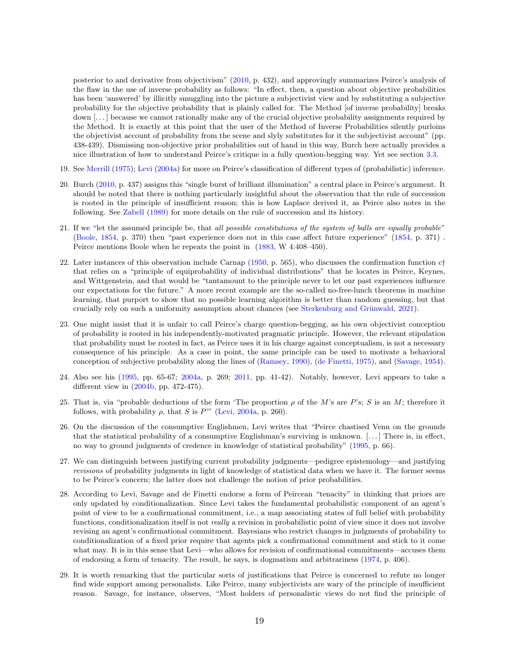posterior to and derivative from objectivism" [\(2010,](#page-20-3) p. 432), and approvingly summarizes Peirce's analysis of the flaw in the use of inverse probability as follows: "In effect, then, a question about objective probabilities has been 'answered' by illicitly smuggling into the picture a subjectivist view and by substituting a subjective probability for the objective probability that is plainly called for. The Method [of inverse probability] breaks down [. . . ] because we cannot rationally make any of the crucial objective probability assignments required by the Method. It is exactly at this point that the user of the Method of Inverse Probabilities silently purloins the objectivist account of probability from the scene and slyly substitutes for it the subjectivist account" (pp. 438-439). Dismissing non-objective prior probabilities out of hand in this way, Burch here actually provides a nice illustration of how to understand Peirce's critique in a fully question-begging way. Yet see section [3.3.](#page-9-0)

- <span id="page-18-0"></span>19. See [Merrill](#page-21-15) [\(1975\)](#page-21-15); [Levi](#page-21-6) [\(2004a\)](#page-21-6) for more on Peirce's classification of different types of (probabilistic) inference.
- <span id="page-18-1"></span>20. Burch [\(2010,](#page-20-3) p. 437) assigns this "single burst of brilliant illumination" a central place in Peirce's argument. It should be noted that there is nothing particularly insightful about the observation that the rule of succession is rooted in the principle of insufficient reason; this is how Laplace derived it, as Peirce also notes in the following. See [Zabell](#page-22-16) [\(1989\)](#page-22-16) for more details on the rule of succession and its history.
- <span id="page-18-2"></span>21. If we "let the assumed principle be, that all possible constitutions of the system of balls are equally probable" [\(Boole,](#page-19-8) [1854,](#page-19-8) p. 370) then "past experience does not in this case affect future experience" [\(1854,](#page-19-8) p. 371) . Peirce mentions Boole when he repeats the point in [\(1883,](#page-22-0) W 4:408–450).
- <span id="page-18-3"></span>22. Later instances of this observation include Carnap [\(1950,](#page-20-7) p. 565), who discusses the confirmation function  $c\uparrow$ that relies on a "principle of equiprobability of individual distributions" that he locates in Peirce, Keynes, and Wittgenstein, and that would be "tantamount to the principle never to let our past experiences influence our expectations for the future." A more recent example are the so-called no-free-lunch theorems in machine learning, that purport to show that no possible learning algorithm is better than random guessing, but that crucially rely on such a uniformity assumption about chances (see Sterkenburg and Grünwald, [2021\)](#page-22-17).
- <span id="page-18-4"></span>23. One might insist that it is unfair to call Peirce's charge question-begging, as his own objectivist conception of probability is rooted in his independently-motivated pragmatic principle. However, the relevant stipulation that probability must be rooted in fact, as Peirce uses it in his charge against conceptualism, is not a necessary consequence of his principle. As a case in point, the same principle can be used to motivate a behavioral conception of subjective probability along the lines of [\(Ramsey,](#page-22-18) [1990\)](#page-22-18), [\(de Finetti,](#page-20-2) [1975\)](#page-20-2), and [\(Savage,](#page-22-6) [1954\)](#page-22-6).
- <span id="page-18-5"></span>24. Also see his [\(1995,](#page-21-16) pp. 65-67; [2004a,](#page-21-6) p. 269; [2011,](#page-21-7) pp. 41-42). Notably, however, Levi appears to take a different view in [\(2004b,](#page-21-13) pp. 472-475).
- <span id="page-18-6"></span>25. That is, via "probable deductions of the form 'The proportion  $\rho$  of the M's are P's; S is an M; therefore it follows, with probability  $\rho$ , that S is P'" [\(Levi,](#page-21-6) [2004a,](#page-21-6) p. 260).
- <span id="page-18-7"></span>26. On the discussion of the consumptive Englishmen, Levi writes that "Peirce chastised Venn on the grounds that the statistical probability of a consumptive Englishman's surviving is unknown. [. . . ] There is, in effect, no way to ground judgments of credence in knowledge of statistical probability" [\(1995,](#page-21-16) p. 66).
- <span id="page-18-8"></span>27. We can distinguish between justifying current probability judgments—pedigree epistemology—and justifying revisions of probability judgments in light of knowledge of statistical data when we have it. The former seems to be Peirce's concern; the latter does not challenge the notion of prior probabilities.
- <span id="page-18-9"></span>28. According to Levi, Savage and de Finetti endorse a form of Peircean "tenacity" in thinking that priors are only updated by conditionalization. Since Levi takes the fundamental probabilistic component of an agent's point of view to be a confirmational commitment, i.e., a map associating states of full belief with probability functions, conditionalization itself is not *really* a revision in probabilistic point of view since it does not involve revising an agent's confirmational commitment. Bayesians who restrict changes in judgments of probability to conditionalization of a fixed prior require that agents pick a confirmational commitment and stick to it come what may. It is in this sense that Levi—who allows for revision of confirmational commitments—accuses them of endorsing a form of tenacity. The result, he says, is dogmatism and arbitrariness [\(1974,](#page-21-17) p. 406).
- <span id="page-18-10"></span>29. It is worth remarking that the particular sorts of justifications that Peirce is concerned to refute no longer find wide support among personalists. Like Peirce, many subjectivists are wary of the principle of insufficient reason. Savage, for instance, observes, "Most holders of personalistic views do not find the principle of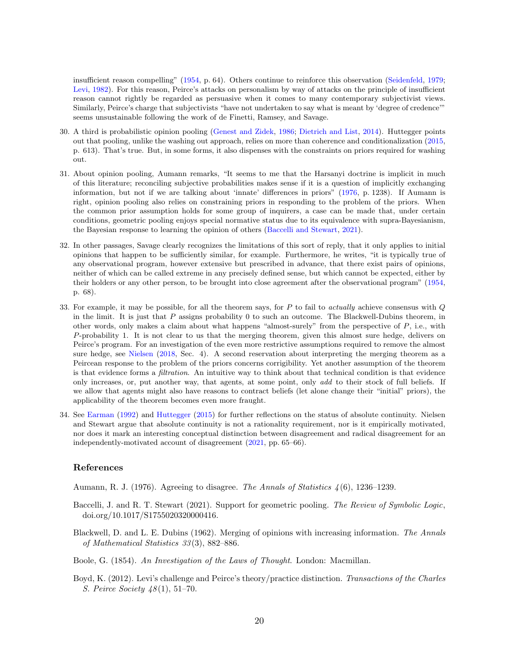insufficient reason compelling" [\(1954,](#page-22-6) p. 64). Others continue to reinforce this observation [\(Seidenfeld,](#page-22-19) [1979;](#page-22-19) [Levi,](#page-21-18) [1982\)](#page-21-18). For this reason, Peirce's attacks on personalism by way of attacks on the principle of insufficient reason cannot rightly be regarded as persuasive when it comes to many contemporary subjectivist views. Similarly, Peirce's charge that subjectivists "have not undertaken to say what is meant by 'degree of credence'" seems unsustainable following the work of de Finetti, Ramsey, and Savage.

- <span id="page-19-0"></span>30. A third is probabilistic opinion pooling [\(Genest and Zidek,](#page-20-18) [1986;](#page-20-18) [Dietrich and List,](#page-20-19) [2014\)](#page-20-19). Huttegger points out that pooling, unlike the washing out approach, relies on more than coherence and conditionalization [\(2015,](#page-20-11) p. 613). That's true. But, in some forms, it also dispenses with the constraints on priors required for washing out.
- <span id="page-19-2"></span>31. About opinion pooling, Aumann remarks, "It seems to me that the Harsanyi doctrine is implicit in much of this literature; reconciling subjective probabilities makes sense if it is a question of implicitly exchanging information, but not if we are talking about 'innate' differences in priors" [\(1976,](#page-19-1) p. 1238). If Aumann is right, opinion pooling also relies on constraining priors in responding to the problem of the priors. When the common prior assumption holds for some group of inquirers, a case can be made that, under certain conditions, geometric pooling enjoys special normative status due to its equivalence with supra-Bayesianism, the Bayesian response to learning the opinion of others [\(Baccelli and Stewart,](#page-19-9) [2021\)](#page-19-9).
- <span id="page-19-3"></span>32. In other passages, Savage clearly recognizes the limitations of this sort of reply, that it only applies to initial opinions that happen to be sufficiently similar, for example. Furthermore, he writes, "it is typically true of any observational program, however extensive but prescribed in advance, that there exist pairs of opinions, neither of which can be called extreme in any precisely defined sense, but which cannot be expected, either by their holders or any other person, to be brought into close agreement after the observational program" [\(1954,](#page-22-6) p. 68).
- <span id="page-19-5"></span>33. For example, it may be possible, for all the theorem says, for  $P$  to fail to *actually* achieve consensus with  $Q$ in the limit. It is just that  $P$  assigns probability 0 to such an outcome. The Blackwell-Dubins theorem, in other words, only makes a claim about what happens "almost-surely" from the perspective of  $P$ , i.e., with P-probability 1. It is not clear to us that the merging theorem, given this almost sure hedge, delivers on Peirce's program. For an investigation of the even more restrictive assumptions required to remove the almost sure hedge, see [Nielsen](#page-21-19) [\(2018,](#page-21-19) Sec. 4). A second reservation about interpreting the merging theorem as a Peircean response to the problem of the priors concerns corrigibility. Yet another assumption of the theorem is that evidence forms a filtration. An intuitive way to think about that technical condition is that evidence only increases, or, put another way, that agents, at some point, only add to their stock of full beliefs. If we allow that agents might also have reasons to contract beliefs (let alone change their "initial" priors), the applicability of the theorem becomes even more fraught.
- <span id="page-19-6"></span>34. See [Earman](#page-20-5) [\(1992\)](#page-20-5) and [Huttegger](#page-20-11) [\(2015\)](#page-20-11) for further reflections on the status of absolute continuity. Nielsen and Stewart argue that absolute continuity is not a rationality requirement, nor is it empirically motivated, nor does it mark an interesting conceptual distinction between disagreement and radical disagreement for an independently-motivated account of disagreement [\(2021,](#page-21-11) pp. 65–66).

## References

<span id="page-19-1"></span>Aumann, R. J. (1976). Agreeing to disagree. The Annals of Statistics 4 (6), 1236–1239.

- <span id="page-19-9"></span>Baccelli, J. and R. T. Stewart (2021). Support for geometric pooling. The Review of Symbolic Logic, doi.org/10.1017/S1755020320000416.
- <span id="page-19-4"></span>Blackwell, D. and L. E. Dubins (1962). Merging of opinions with increasing information. The Annals of Mathematical Statistics 33 (3), 882–886.
- <span id="page-19-8"></span>Boole, G. (1854). An Investigation of the Laws of Thought. London: Macmillan.
- <span id="page-19-7"></span>Boyd, K. (2012). Levi's challenge and Peirce's theory/practice distinction. Transactions of the Charles S. Peirce Society 48 (1), 51–70.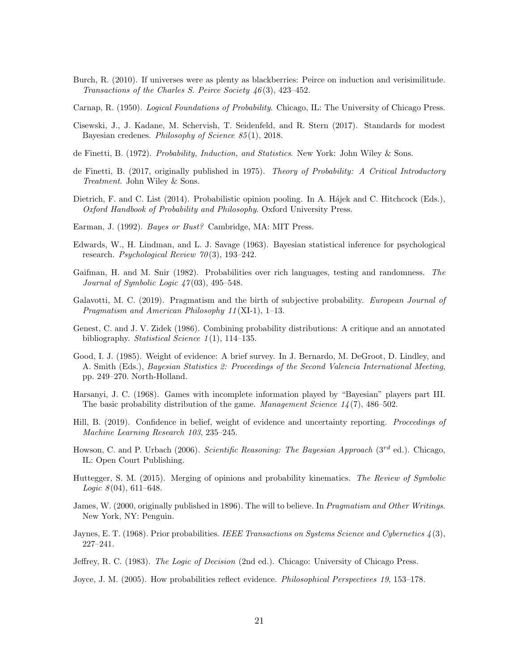- <span id="page-20-3"></span>Burch, R. (2010). If universes were as plenty as blackberries: Peirce on induction and verisimilitude. Transactions of the Charles S. Peirce Society 46 (3), 423–452.
- <span id="page-20-7"></span>Carnap, R. (1950). Logical Foundations of Probability. Chicago, IL: The University of Chicago Press.
- <span id="page-20-12"></span>Cisewski, J., J. Kadane, M. Schervish, T. Seidenfeld, and R. Stern (2017). Standards for modest Bayesian credenes. Philosophy of Science 85 (1), 2018.
- <span id="page-20-4"></span>de Finetti, B. (1972). Probability, Induction, and Statistics. New York: John Wiley & Sons.
- <span id="page-20-2"></span>de Finetti, B. (2017, originally published in 1975). Theory of Probability: A Critical Introductory Treatment. John Wiley & Sons.
- <span id="page-20-19"></span>Dietrich, F. and C. List (2014). Probabilistic opinion pooling. In A. Hajek and C. Hitchcock (Eds.), Oxford Handbook of Probability and Philosophy. Oxford University Press.
- <span id="page-20-5"></span>Earman, J. (1992). Bayes or Bust? Cambridge, MA: MIT Press.
- <span id="page-20-10"></span>Edwards, W., H. Lindman, and L. J. Savage (1963). Bayesian statistical inference for psychological research. Psychological Review  $70(3)$ , 193-242.
- <span id="page-20-13"></span>Gaifman, H. and M. Snir (1982). Probabilities over rich languages, testing and randomness. The Journal of Symbolic Logic  $47(03)$ , 495–548.
- <span id="page-20-0"></span>Galavotti, M. C. (2019). Pragmatism and the birth of subjective probability. European Journal of Pragmatism and American Philosophy 11 (XI-1), 1–13.
- <span id="page-20-18"></span>Genest, C. and J. V. Zidek (1986). Combining probability distributions: A critique and an annotated bibliography. Statistical Science  $1(1)$ , 114–135.
- <span id="page-20-14"></span>Good, I. J. (1985). Weight of evidence: A brief survey. In J. Bernardo, M. DeGroot, D. Lindley, and A. Smith (Eds.), Bayesian Statistics 2: Proceedings of the Second Valencia International Meeting, pp. 249–270. North-Holland.
- <span id="page-20-6"></span>Harsanyi, J. C. (1968). Games with incomplete information played by "Bayesian" players part III. The basic probability distribution of the game. Management Science  $1/4(7)$ , 486–502.
- <span id="page-20-17"></span>Hill, B. (2019). Confidence in belief, weight of evidence and uncertainty reporting. Proceedings of Machine Learning Research 103, 235–245.
- <span id="page-20-9"></span>Howson, C. and P. Urbach (2006). Scientific Reasoning: The Bayesian Approach ( $3^{rd}$  ed.). Chicago, IL: Open Court Publishing.
- <span id="page-20-11"></span>Huttegger, S. M. (2015). Merging of opinions and probability kinematics. The Review of Symbolic *Logic*  $8(04)$ ,  $611-648$ .
- <span id="page-20-1"></span>James, W. (2000, originally published in 1896). The will to believe. In *Pragmatism and Other Writings*. New York, NY: Penguin.
- <span id="page-20-8"></span>Jaynes, E. T. (1968). Prior probabilities. IEEE Transactions on Systems Science and Cybernetics  $\lambda(3)$ , 227–241.
- <span id="page-20-15"></span>Jeffrey, R. C. (1983). The Logic of Decision (2nd ed.). Chicago: University of Chicago Press.
- <span id="page-20-16"></span>Joyce, J. M. (2005). How probabilities reflect evidence. Philosophical Perspectives 19, 153–178.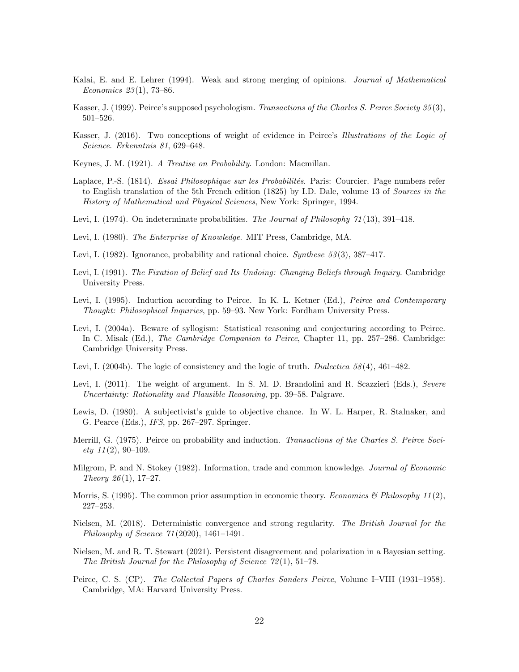- <span id="page-21-10"></span>Kalai, E. and E. Lehrer (1994). Weak and strong merging of opinions. Journal of Mathematical Economics 23 (1), 73–86.
- <span id="page-21-0"></span>Kasser, J. (1999). Peirce's supposed psychologism. Transactions of the Charles S. Peirce Society 35 (3), 501–526.
- <span id="page-21-4"></span>Kasser, J. (2016). Two conceptions of weight of evidence in Peirce's Illustrations of the Logic of Science. Erkenntnis 81, 629–648.
- <span id="page-21-5"></span>Keynes, J. M. (1921). A Treatise on Probability. London: Macmillan.
- <span id="page-21-14"></span>Laplace, P.-S. (1814). *Essai Philosophique sur les Probabilités*. Paris: Courcier. Page numbers refer to English translation of the 5th French edition (1825) by I.D. Dale, volume 13 of Sources in the History of Mathematical and Physical Sciences, New York: Springer, 1994.
- <span id="page-21-17"></span>Levi, I. (1974). On indeterminate probabilities. The Journal of Philosophy 71(13), 391–418.
- <span id="page-21-2"></span>Levi, I. (1980). The Enterprise of Knowledge. MIT Press, Cambridge, MA.
- <span id="page-21-18"></span>Levi, I. (1982). Ignorance, probability and rational choice. Synthese 53(3), 387–417.
- <span id="page-21-1"></span>Levi, I. (1991). The Fixation of Belief and Its Undoing: Changing Beliefs through Inquiry. Cambridge University Press.
- <span id="page-21-16"></span>Levi, I. (1995). Induction according to Peirce. In K. L. Ketner (Ed.), Peirce and Contemporary Thought: Philosophical Inquiries, pp. 59–93. New York: Fordham University Press.
- <span id="page-21-6"></span>Levi, I. (2004a). Beware of syllogism: Statistical reasoning and conjecturing according to Peirce. In C. Misak (Ed.), The Cambridge Companion to Peirce, Chapter 11, pp. 257–286. Cambridge: Cambridge University Press.
- <span id="page-21-13"></span>Levi, I. (2004b). The logic of consistency and the logic of truth. Dialectica  $58(4)$ ,  $461-482$ .
- <span id="page-21-7"></span>Levi, I. (2011). The weight of argument. In S. M. D. Brandolini and R. Scazzieri (Eds.), Severe Uncertainty: Rationality and Plausible Reasoning, pp. 39–58. Palgrave.
- <span id="page-21-12"></span>Lewis, D. (1980). A subjectivist's guide to objective chance. In W. L. Harper, R. Stalnaker, and G. Pearce (Eds.), IFS, pp. 267–297. Springer.
- <span id="page-21-15"></span>Merrill, G. (1975). Peirce on probability and induction. Transactions of the Charles S. Peirce Soci $ety 11(2), 90-109.$
- <span id="page-21-9"></span>Milgrom, P. and N. Stokey (1982). Information, trade and common knowledge. Journal of Economic Theory  $26(1)$ , 17-27.
- <span id="page-21-8"></span>Morris, S. (1995). The common prior assumption in economic theory. Economics & Philosophy 11(2), 227–253.
- <span id="page-21-19"></span>Nielsen, M. (2018). Deterministic convergence and strong regularity. The British Journal for the Philosophy of Science 71 (2020), 1461–1491.
- <span id="page-21-11"></span>Nielsen, M. and R. T. Stewart (2021). Persistent disagreement and polarization in a Bayesian setting. The British Journal for the Philosophy of Science 72 (1), 51–78.
- <span id="page-21-3"></span>Peirce, C. S. (CP). The Collected Papers of Charles Sanders Peirce, Volume I–VIII (1931–1958). Cambridge, MA: Harvard University Press.